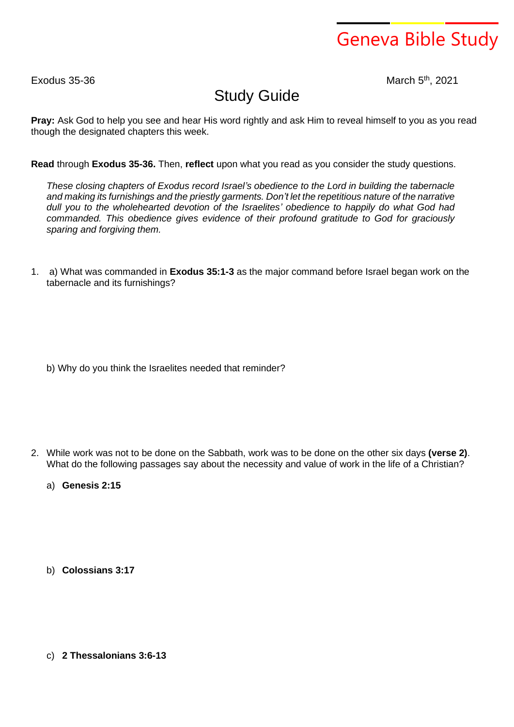## Geneva Bible Study

 $Exodus$  35-36

th , 2021

## Study Guide

**Pray:** Ask God to help you see and hear His word rightly and ask Him to reveal himself to you as you read though the designated chapters this week.

**Read** through **Exodus 35-36.** Then, **reflect** upon what you read as you consider the study questions.

*These closing chapters of Exodus record Israel's obedience to the Lord in building the tabernacle and making its furnishings and the priestly garments. Don't let the repetitious nature of the narrative dull you to the wholehearted devotion of the Israelites' obedience to happily do what God had commanded. This obedience gives evidence of their profound gratitude to God for graciously sparing and forgiving them.*

1. a) What was commanded in **Exodus 35:1-3** as the major command before Israel began work on the tabernacle and its furnishings?

b) Why do you think the Israelites needed that reminder?

- 2. While work was not to be done on the Sabbath, work was to be done on the other six days **(verse 2)**. What do the following passages say about the necessity and value of work in the life of a Christian?
	- a) **Genesis 2:15**

b) **Colossians 3:17**

c) **2 Thessalonians 3:6-13**